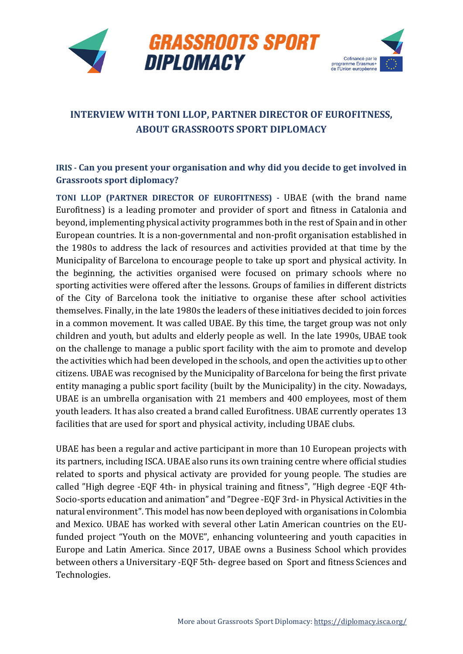



# **INTERVIEW WITH TONI LLOP, PARTNER DIRECTOR OF EUROFITNESS, ABOUT GRASSROOTS SPORT DIPLOMACY**

## **IRIS - Can you present your organisation and why did you decide to get involved in Grassroots sport diplomacy?**

**TONI LLOP (PARTNER DIRECTOR OF EUROFITNESS) -** UBAE (with the brand name Eurofitness) is a leading promoter and provider of sport and fitness in Catalonia and beyond, implementing physical activity programmes both in the rest of Spain and in other European countries. It is a non-governmental and non-profit organisation established in the 1980s to address the lack of resources and activities provided at that time by the Municipality of Barcelona to encourage people to take up sport and physical activity. In the beginning, the activities organised were focused on primary schools where no sporting activities were offered after the lessons. Groups of families in different districts of the City of Barcelona took the initiative to organise these after school activities themselves. Finally, in the late 1980s the leaders of these initiatives decided to join forces in a common movement. It was called UBAE. By this time, the target group was not only children and youth, but adults and elderly people as well. In the late 1990s, UBAE took on the challenge to manage a public sport facility with the aim to promote and develop the activities which had been developed in the schools, and open the activities up to other citizens. UBAE was recognised by the Municipality of Barcelona for being the first private entity managing a public sport facility (built by the Municipality) in the city. Nowadays, UBAE is an umbrella organisation with 21 members and 400 employees, most of them youth leaders. It has also created a brand called Eurofitness. UBAE currently operates 13 facilities that are used for sport and physical activity, including UBAE clubs.

UBAE has been a regular and active participant in more than 10 European projects with its partners, including ISCA. UBAE also runs its own training centre where official studies related to sports and physical activaty are provided for young people. The studies are called "High degree -EQF 4th- in physical training and fitness", "High degree -EQF 4th-Socio-sports education and animation" and "Degree -EQF 3rd- in Physical Activities in the natural environment". This model has now been deployed with organisations in Colombia and Mexico. UBAE has worked with several other Latin American countries on the EUfunded project "Youth on the MOVE", enhancing volunteering and youth capacities in Europe and Latin America. Since 2017, UBAE owns a Business School which provides between others a Universitary -EQF 5th- degree based on Sport and fitness Sciences and Technologies.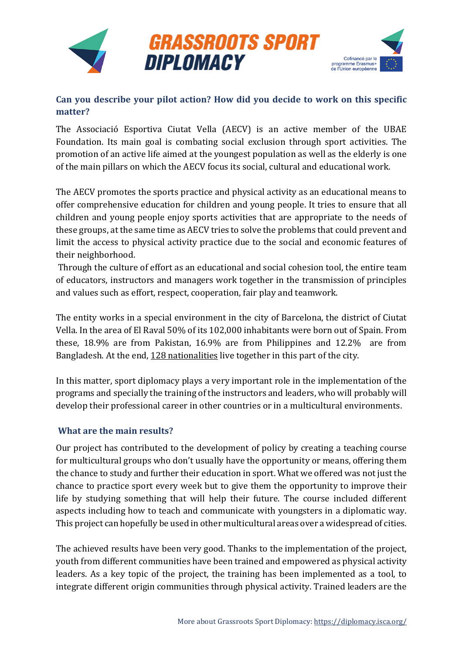

### **Can you describe your pilot action? How did you decide to work on this specific matter?**

The Associació Esportiva Ciutat Vella (AECV) is an active member of the UBAE Foundation. Its main goal is combating social exclusion through sport activities. The promotion of an active life aimed at the youngest population as well as the elderly is one of the main pillars on which the AECV focus its social, cultural and educational work.

The AECV promotes the sports practice and physical activity as an educational means to offer comprehensive education for children and young people. It tries to ensure that all children and young people enjoy sports activities that are appropriate to the needs of these groups, at the same time as AECV tries to solve the problems that could prevent and limit the access to physical activity practice due to the social and economic features of their neighborhood.

Through the culture of effort as an educational and social cohesion tool, the entire team of educators, instructors and managers work together in the transmission of principles and values such as effort, respect, cooperation, fair play and teamwork.

The entity works in a special environment in the city of Barcelona, the district of Ciutat Vella. In the area of El Raval 50% of its 102,000 inhabitants were born out of Spain. From these, 18.9% are from Pakistan, 16.9% are from Philippines and 12.2% are from Bangladesh. At the end, [128 nationalities](https://www.bcn.cat/estadistica/castella/dades/inf/pobest/pobest18/part1/nt27.htm) live together in this part of the city.

In this matter, sport diplomacy plays a very important role in the implementation of the programs and specially the training of the instructors and leaders, who will probably will develop their professional career in other countries or in a multicultural environments.

#### **What are the main results?**

Our project has contributed to the development of policy by creating a teaching course for multicultural groups who don't usually have the opportunity or means, offering them the chance to study and further their education in sport. What we offered was not just the chance to practice sport every week but to give them the opportunity to improve their life by studying something that will help their future. The course included different aspects including how to teach and communicate with youngsters in a diplomatic way. This project can hopefully be used in other multicultural areas over a widespread of cities.

The achieved results have been very good. Thanks to the implementation of the project, youth from different communities have been trained and empowered as physical activity leaders. As a key topic of the project, the training has been implemented as a tool, to integrate different origin communities through physical activity. Trained leaders are the